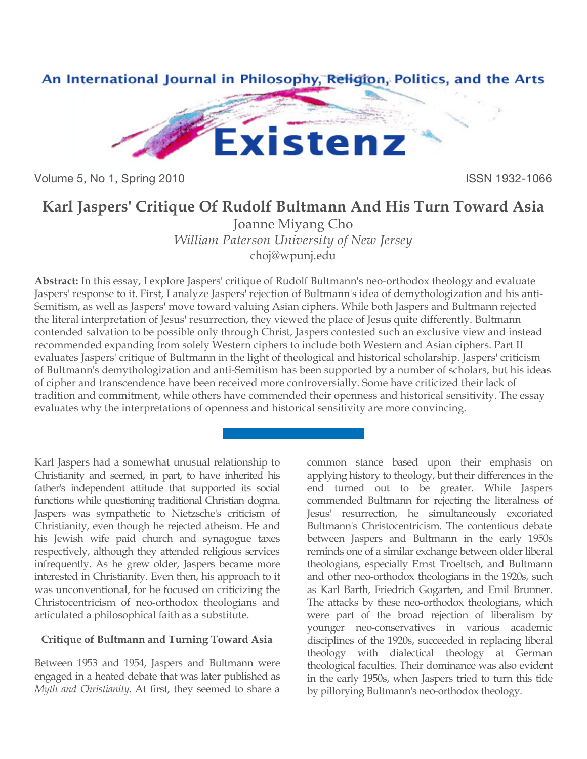

Volume 5, No 1, Spring 2010 **ISSN 1932-1066** 

## **Karl Jaspers' Critique Of Rudolf Bultmann And His Turn Toward Asia**

Joanne Miyang Cho *William Paterson University of New Jersey* [choj@wpunj.edu](mailto:choj@wpunj.edu)

**Abstract:** In this essay, I explore Jaspers' critique of Rudolf Bultmann's neo-orthodox theology and evaluate Jaspers' response to it. First, I analyze Jaspers' rejection of Bultmann's idea of demythologization and his anti-Semitism, as well as Jaspers' move toward valuing Asian ciphers. While both Jaspers and Bultmann rejected the literal interpretation of Jesus' resurrection, they viewed the place of Jesus quite differently. Bultmann contended salvation to be possible only through Christ, Jaspers contested such an exclusive view and instead recommended expanding from solely Western ciphers to include both Western and Asian ciphers. Part II evaluates Jaspers' critique of Bultmann in the light of theological and historical scholarship. Jaspers' criticism of Bultmann's demythologization and anti-Semitism has been supported by a number of scholars, but his ideas of cipher and transcendence have been received more controversially. Some have criticized their lack of tradition and commitment, while others have commended their openness and historical sensitivity. The essay evaluates why the interpretations of openness and historical sensitivity are more convincing.

Karl Jaspers had a somewhat unusual relationship to Christianity and seemed, in part, to have inherited his father's independent attitude that supported its social functions while questioning traditional Christian dogma. Jaspers was sympathetic to Nietzsche's criticism of Christianity, even though he rejected atheism. He and his Jewish wife paid church and synagogue taxes respectively, although they attended religious services infrequently. As he grew older, Jaspers became more interested in Christianity. Even then, his approach to it was unconventional, for he focused on criticizing the Christocentricism of neo-orthodox theologians and articulated a philosophical faith as a substitute.

## **Critique of Bultmann and Turning Toward Asia**

Between 1953 and 1954, Jaspers and Bultmann were engaged in a heated debate that was later published as *Myth and Christianity*. At first, they seemed to share a

common stance based upon their emphasis on applying history to theology, but their differences in the end turned out to be greater. While Jaspers commended Bultmann for rejecting the literalness of Jesus' resurrection, he simultaneously excoriated Bultmann's Christocentricism. The contentious debate between Jaspers and Bultmann in the early 1950s reminds one of a similar exchange between older liberal theologians, especially Ernst Troeltsch, and Bultmann and other neo-orthodox theologians in the 1920s, such as Karl Barth, Friedrich Gogarten, and Emil Brunner. The attacks by these neo-orthodox theologians, which were part of the broad rejection of liberalism by younger neo-conservatives in various academic disciplines of the 1920s, succeeded in replacing liberal theology with dialectical theology at German theological faculties. Their dominance was also evident in the early 1950s, when Jaspers tried to turn this tide by pillorying Bultmann's neo-orthodox theology.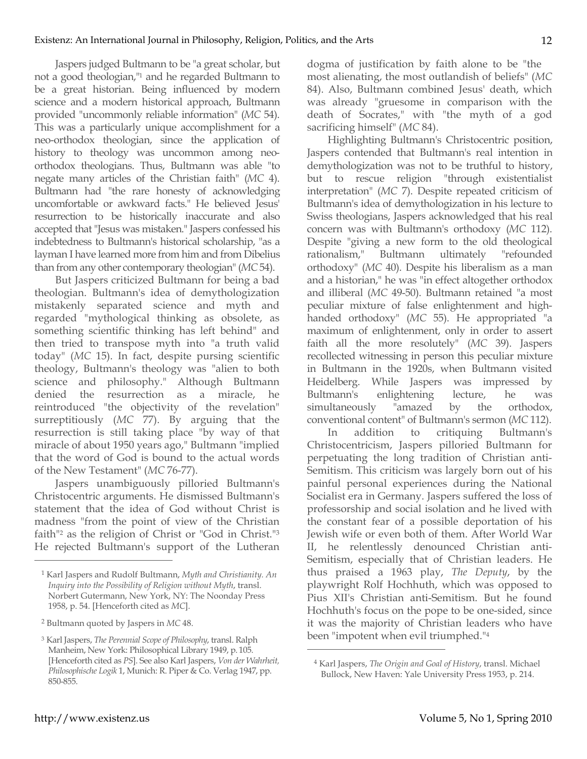Jaspers judged Bultmann to be "a great scholar, but not a good theologian,"1 and he regarded Bultmann to be a great historian. Being influenced by modern science and a modern historical approach, Bultmann provided "uncommonly reliable information" (*MC* 54). This was a particularly unique accomplishment for a neo-orthodox theologian, since the application of history to theology was uncommon among neoorthodox theologians. Thus, Bultmann was able "to negate many articles of the Christian faith" (*MC* 4). Bultmann had "the rare honesty of acknowledging uncomfortable or awkward facts." He believed Jesus' resurrection to be historically inaccurate and also accepted that "Jesus was mistaken." Jaspers confessed his indebtedness to Bultmann's historical scholarship, "as a layman I have learned more from him and from Dibelius than from any other contemporary theologian" (*MC* 54).

But Jaspers criticized Bultmann for being a bad theologian. Bultmann's idea of demythologization mistakenly separated science and myth and regarded "mythological thinking as obsolete, as something scientific thinking has left behind" and then tried to transpose myth into "a truth valid today" (*MC* 15). In fact, despite pursing scientific theology, Bultmann's theology was "alien to both science and philosophy." Although Bultmann denied the resurrection as a miracle, he reintroduced "the objectivity of the revelation" surreptitiously (*MC* 77). By arguing that the resurrection is still taking place "by way of that miracle of about 1950 years ago," Bultmann "implied that the word of God is bound to the actual words of the New Testament" (*MC* 76-77).

Jaspers unambiguously pilloried Bultmann's Christocentric arguments. He dismissed Bultmann's statement that the idea of God without Christ is madness "from the point of view of the Christian faith"2 as the religion of Christ or "God in Christ."3 He rejected Bultmann's support of the Lutheran dogma of justification by faith alone to be "the most alienating, the most outlandish of beliefs" (*MC* 84). Also, Bultmann combined Jesus' death, which was already "gruesome in comparison with the death of Socrates," with "the myth of a god sacrificing himself" (*MC* 84).

Highlighting Bultmann's Christocentric position, Jaspers contended that Bultmann's real intention in demythologization was not to be truthful to history, but to rescue religion "through existentialist interpretation" (*MC* 7). Despite repeated criticism of Bultmann's idea of demythologization in his lecture to Swiss theologians, Jaspers acknowledged that his real concern was with Bultmann's orthodoxy (*MC* 112). Despite "giving a new form to the old theological rationalism," Bultmann ultimately "refounded orthodoxy" (*MC* 40). Despite his liberalism as a man and a historian," he was "in effect altogether orthodox and illiberal (*MC* 49-50). Bultmann retained "a most peculiar mixture of false enlightenment and highhanded orthodoxy" (*MC* 55). He appropriated "a maximum of enlightenment, only in order to assert faith all the more resolutely" (*MC* 39). Jaspers recollected witnessing in person this peculiar mixture in Bultmann in the 1920s, when Bultmann visited Heidelberg. While Jaspers was impressed by Bultmann's enlightening lecture, he was simultaneously "amazed by the orthodox, conventional content" of Bultmann's sermon (*MC* 112).

In addition to critiquing Bultmann's Christocentricism, Jaspers pilloried Bultmann for perpetuating the long tradition of Christian anti-Semitism. This criticism was largely born out of his painful personal experiences during the National Socialist era in Germany. Jaspers suffered the loss of professorship and social isolation and he lived with the constant fear of a possible deportation of his Jewish wife or even both of them. After World War II, he relentlessly denounced Christian anti-Semitism, especially that of Christian leaders. He thus praised a 1963 play, *The Deputy*, by the playwright Rolf Hochhuth, which was opposed to Pius XII's Christian anti-Semitism. But he found Hochhuth's focus on the pope to be one-sided, since it was the majority of Christian leaders who have been "impotent when evil triumphed."4

 $\overline{a}$ 

<sup>1</sup> Karl Jaspers and Rudolf Bultmann, *Myth and Christianity. An Inquiry into the Possibility of Religion without Myth*, transl. Norbert Gutermann, New York, NY: The Noonday Press 1958, p. 54. [Henceforth cited as *MC*].

<sup>2</sup> Bultmann quoted by Jaspers in *MC* 48.

<sup>3</sup> Karl Jaspers, *The Perennial Scope of Philosophy*, transl. Ralph Manheim, New York: Philosophical Library 1949, p. 105. [Henceforth cited as *PS*]. See also Karl Jaspers, *Von der Wahrheit, Philosophische Logik* 1, Munich: R. Piper & Co. Verlag 1947, pp. 850-855.

<sup>4</sup> Karl Jaspers, *The Origin and Goal of History*, transl. Michael Bullock, New Haven: Yale University Press 1953, p. 214.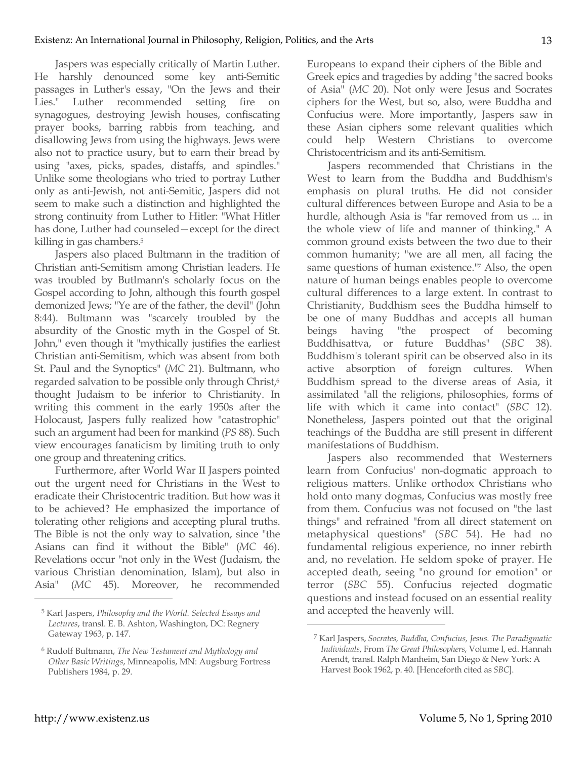Jaspers was especially critically of Martin Luther. He harshly denounced some key anti-Semitic passages in Luther's essay, "On the Jews and their Lies." Luther recommended setting fire on synagogues, destroying Jewish houses, confiscating prayer books, barring rabbis from teaching, and disallowing Jews from using the highways. Jews were also not to practice usury, but to earn their bread by using "axes, picks, spades, distaffs, and spindles." Unlike some theologians who tried to portray Luther only as anti-Jewish, not anti-Semitic, Jaspers did not seem to make such a distinction and highlighted the strong continuity from Luther to Hitler: "What Hitler has done, Luther had counseled—except for the direct killing in gas chambers.5

Jaspers also placed Bultmann in the tradition of Christian anti-Semitism among Christian leaders. He was troubled by Butlmann's scholarly focus on the Gospel according to John, although this fourth gospel demonized Jews; "Ye are of the father, the devil" (John 8:44). Bultmann was "scarcely troubled by the absurdity of the Gnostic myth in the Gospel of St. John," even though it "mythically justifies the earliest Christian anti-Semitism, which was absent from both St. Paul and the Synoptics" (*MC* 21). Bultmann, who regarded salvation to be possible only through Christ,<sup>6</sup> thought Judaism to be inferior to Christianity. In writing this comment in the early 1950s after the Holocaust, Jaspers fully realized how "catastrophic" such an argument had been for mankind (*PS* 88). Such view encourages fanaticism by limiting truth to only one group and threatening critics.

Furthermore, after World War II Jaspers pointed out the urgent need for Christians in the West to eradicate their Christocentric tradition. But how was it to be achieved? He emphasized the importance of tolerating other religions and accepting plural truths. The Bible is not the only way to salvation, since "the Asians can find it without the Bible" (*MC* 46). Revelations occur "not only in the West (Judaism, the various Christian denomination, Islam), but also in Asia" (*MC* 45). Moreover, he recommended  $\overline{a}$ 

Europeans to expand their ciphers of the Bible and Greek epics and tragedies by adding "the sacred books of Asia" (*MC* 20). Not only were Jesus and Socrates ciphers for the West, but so, also, were Buddha and Confucius were. More importantly, Jaspers saw in these Asian ciphers some relevant qualities which could help Western Christians to overcome Christocentricism and its anti-Semitism.

Jaspers recommended that Christians in the West to learn from the Buddha and Buddhism's emphasis on plural truths. He did not consider cultural differences between Europe and Asia to be a hurdle, although Asia is "far removed from us ... in the whole view of life and manner of thinking." A common ground exists between the two due to their common humanity; "we are all men, all facing the same questions of human existence."7 Also, the open nature of human beings enables people to overcome cultural differences to a large extent. In contrast to Christianity, Buddhism sees the Buddha himself to be one of many Buddhas and accepts all human beings having "the prospect of becoming Buddhisattva, or future Buddhas" (*SBC* 38). Buddhism's tolerant spirit can be observed also in its active absorption of foreign cultures. When Buddhism spread to the diverse areas of Asia, it assimilated "all the religions, philosophies, forms of life with which it came into contact" (*SBC* 12). Nonetheless, Jaspers pointed out that the original teachings of the Buddha are still present in different manifestations of Buddhism.

Jaspers also recommended that Westerners learn from Confucius' non-dogmatic approach to religious matters. Unlike orthodox Christians who hold onto many dogmas, Confucius was mostly free from them. Confucius was not focused on "the last things" and refrained "from all direct statement on metaphysical questions" (*SBC* 54). He had no fundamental religious experience, no inner rebirth and, no revelation. He seldom spoke of prayer. He accepted death, seeing "no ground for emotion" or terror (*SBC* 55). Confucius rejected dogmatic questions and instead focused on an essential reality and accepted the heavenly will.

<sup>5</sup> Karl Jaspers, *Philosophy and the World. Selected Essays and Lectures*, transl. E. B. Ashton, Washington, DC: Regnery Gateway 1963, p. 147.

<sup>6</sup> Rudolf Bultmann, *The New Testament and Mythology and Other Basic Writings*, Minneapolis, MN: Augsburg Fortress Publishers 1984, p. 29.

<sup>7</sup> Karl Jaspers, *Socrates, Buddha, Confucius, Jesus. The Paradigmatic Individuals*, From *The Great Philosophers*, Volume I, ed. Hannah Arendt, transl. Ralph Manheim, San Diego & New York: A Harvest Book 1962, p. 40. [Henceforth cited as *SBC*].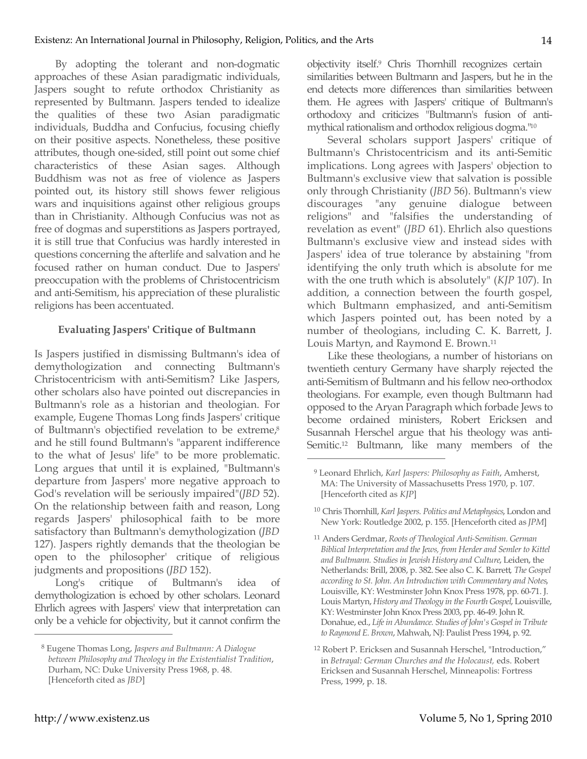By adopting the tolerant and non-dogmatic approaches of these Asian paradigmatic individuals, Jaspers sought to refute orthodox Christianity as represented by Bultmann. Jaspers tended to idealize the qualities of these two Asian paradigmatic individuals, Buddha and Confucius, focusing chiefly on their positive aspects. Nonetheless, these positive attributes, though one-sided, still point out some chief characteristics of these Asian sages. Although Buddhism was not as free of violence as Jaspers pointed out, its history still shows fewer religious wars and inquisitions against other religious groups than in Christianity. Although Confucius was not as free of dogmas and superstitions as Jaspers portrayed, it is still true that Confucius was hardly interested in questions concerning the afterlife and salvation and he focused rather on human conduct. Due to Jaspers' preoccupation with the problems of Christocentricism and anti-Semitism, his appreciation of these pluralistic religions has been accentuated.

## **Evaluating Jaspers' Critique of Bultmann**

Is Jaspers justified in dismissing Bultmann's idea of demythologization and connecting Bultmann's Christocentricism with anti-Semitism? Like Jaspers, other scholars also have pointed out discrepancies in Bultmann's role as a historian and theologian. For example, Eugene Thomas Long finds Jaspers' critique of Bultmann's objectified revelation to be extreme,<sup>8</sup> and he still found Bultmann's "apparent indifference to the what of Jesus' life" to be more problematic. Long argues that until it is explained, "Bultmann's departure from Jaspers' more negative approach to God's revelation will be seriously impaired"(*JBD* 52). On the relationship between faith and reason, Long regards Jaspers' philosophical faith to be more satisfactory than Bultmann's demythologization (*JBD* 127). Jaspers rightly demands that the theologian be open to the philosopher' critique of religious judgments and propositions (*JBD* 152).

Long's critique of Bultmann's idea of demythologization is echoed by other scholars. Leonard Ehrlich agrees with Jaspers' view that interpretation can only be a vehicle for objectivity, but it cannot confirm the objectivity itself.9 Chris Thornhill recognizes certain similarities between Bultmann and Jaspers, but he in the end detects more differences than similarities between them. He agrees with Jaspers' critique of Bultmann's orthodoxy and criticizes "Bultmann's fusion of antimythical rationalism and orthodox religious dogma."10

Several scholars support Jaspers' critique of Bultmann's Christocentricism and its anti-Semitic implications. Long agrees with Jaspers' objection to Bultmann's exclusive view that salvation is possible only through Christianity (*JBD* 56). Bultmann's view discourages "any genuine dialogue between religions" and "falsifies the understanding of revelation as event" (*JBD* 61). Ehrlich also questions Bultmann's exclusive view and instead sides with Jaspers' idea of true tolerance by abstaining "from identifying the only truth which is absolute for me with the one truth which is absolutely" (*KJP* 107). In addition, a connection between the fourth gospel, which Bultmann emphasized, and anti-Semitism which Jaspers pointed out, has been noted by a number of theologians, including C. K. Barrett, J. Louis Martyn, and Raymond E. Brown.11

Like these theologians, a number of historians on twentieth century Germany have sharply rejected the anti-Semitism of Bultmann and his fellow neo-orthodox theologians. For example, even though Bultmann had opposed to the Aryan Paragraph which forbade Jews to become ordained ministers, Robert Ericksen and Susannah Herschel argue that his theology was anti-Semitic.12 Bultmann, like many members of the

 $\overline{a}$ 

<sup>8</sup> Eugene Thomas Long, *Jaspers and Bultmann: A Dialogue between Philosophy and Theology in the Existentialist Tradition*, Durham, NC: Duke University Press 1968, p. 48. [Henceforth cited as *JBD*]

<sup>9</sup> Leonard Ehrlich, *Karl Jaspers: Philosophy as Faith*, Amherst, MA: The University of Massachusetts Press 1970, p. 107. [Henceforth cited as *KJP*]

<sup>10</sup> Chris Thornhill, *Karl Jaspers. Politics and Metaphysics*, London and New York: Routledge 2002, p. 155. [Henceforth cited as *JPM*]

<sup>11</sup> Anders Gerdmar, *Roots of Theological Anti-Semitism. German Biblical Interpretation and the Jews, from Herder and Semler to Kittel and Bultmann. Studies in Jewish History and Culture*, Leiden, the Netherlands: Brill, 2008, p. 382. See also C. K. Barrett*, The Gospel according to St. John. An Introduction with Commentary and Notes*, Louisville, KY: Westminster John Knox Press 1978, pp. 60-71. J. Louis Martyn, *History and Theology in the Fourth Gospel*, Louisville, KY: Westminster John Knox Press 2003, pp. 46-49. John R. Donahue, ed., *Life in Abundance. Studies of John's Gospel in Tribute to Raymond E. Brown*, Mahwah, NJ: Paulist Press 1994, p. 92.

<sup>12</sup> Robert P. Ericksen and Susannah Herschel, "Introduction," in *Betrayal: German Churches and the Holocaust,* eds. Robert Ericksen and Susannah Herschel, Minneapolis: Fortress Press, 1999, p. 18.